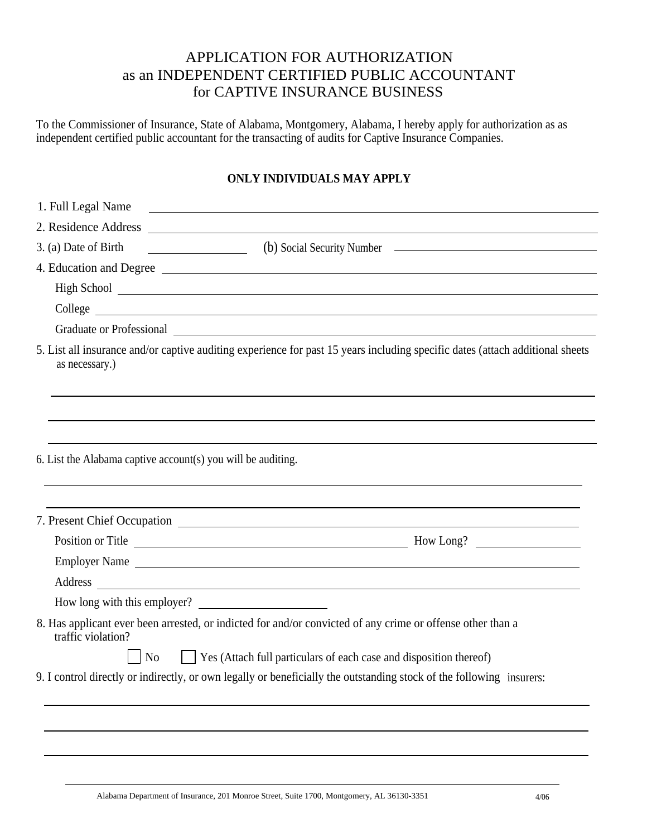## APPLICATION FOR AUTHORIZATION as an INDEPENDENT CERTIFIED PUBLIC ACCOUNTANT for CAPTIVE INSURANCE BUSINESS

To the Commissioner of Insurance, State of Alabama, Montgomery, Alabama, I hereby apply for authorization as as independent certified public accountant for the transacting of audits for Captive Insurance Companies.

## **ONLY INDIVIDUALS MAY APPLY**

| 1. Full Legal Name                                           | <u> 1980 - Antonio Alemania, politikar politikar (h. 1980)</u>                                                                                                                                                                 |  |  |  |  |
|--------------------------------------------------------------|--------------------------------------------------------------------------------------------------------------------------------------------------------------------------------------------------------------------------------|--|--|--|--|
|                                                              |                                                                                                                                                                                                                                |  |  |  |  |
| 3. (a) Date of Birth (b) Social Security Number              |                                                                                                                                                                                                                                |  |  |  |  |
|                                                              | 4. Education and Degree                                                                                                                                                                                                        |  |  |  |  |
|                                                              |                                                                                                                                                                                                                                |  |  |  |  |
|                                                              |                                                                                                                                                                                                                                |  |  |  |  |
|                                                              | Graduate or Professional Quality and Contact the Contact of the Contact of the Contact of the Contact of the Contact of the Contact of the Contact of the Contact of the Contact of the Contact of the Contact of the Contact  |  |  |  |  |
| as necessary.)                                               | 5. List all insurance and/or captive auditing experience for past 15 years including specific dates (attach additional sheets                                                                                                  |  |  |  |  |
|                                                              |                                                                                                                                                                                                                                |  |  |  |  |
| 6. List the Alabama captive account(s) you will be auditing. |                                                                                                                                                                                                                                |  |  |  |  |
|                                                              |                                                                                                                                                                                                                                |  |  |  |  |
|                                                              |                                                                                                                                                                                                                                |  |  |  |  |
|                                                              | Employer Name                                                                                                                                                                                                                  |  |  |  |  |
|                                                              | Address and the contract of the contract of the contract of the contract of the contract of the contract of the contract of the contract of the contract of the contract of the contract of the contract of the contract of th |  |  |  |  |
|                                                              | How long with this employer?                                                                                                                                                                                                   |  |  |  |  |
| traffic violation?                                           | 8. Has applicant ever been arrested, or indicted for and/or convicted of any crime or offense other than a                                                                                                                     |  |  |  |  |
| N <sub>o</sub>                                               | Yes (Attach full particulars of each case and disposition thereof)                                                                                                                                                             |  |  |  |  |
|                                                              | 9. I control directly or indirectly, or own legally or beneficially the outstanding stock of the following insurers:                                                                                                           |  |  |  |  |
|                                                              |                                                                                                                                                                                                                                |  |  |  |  |